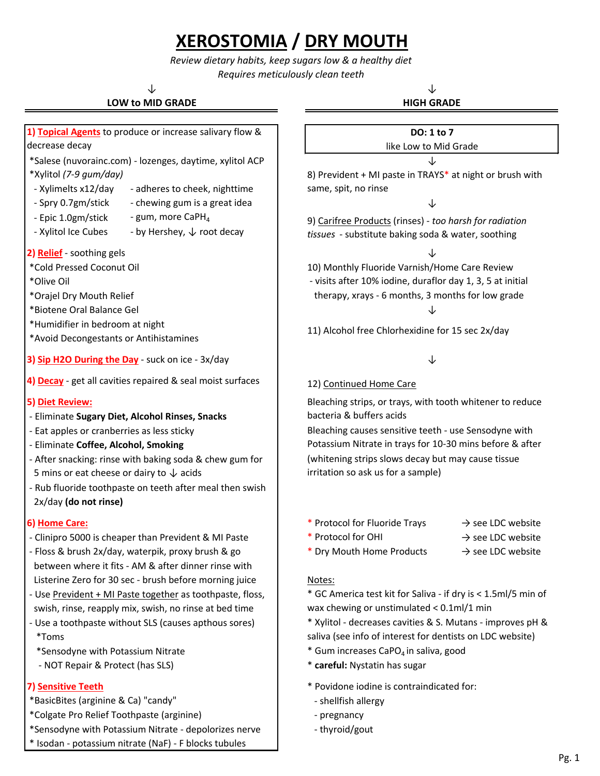# **XEROSTOMIA / DRY MOUTH**

*Review dietary habits, keep sugars low & a healthy diet Requires meticulously clean teeth*

↓ ↓

## **LOW to MID GRADE**

**1) Topical Agents** to produce or increase salivary flow &

# **HIGH GRADE**

## **DO: 1 to 7**

### ↓ like Low to Mid Grade

8) Prevident + MI paste in TRAYS\* at night or brush with same, spit, no rinse

9) Carifree Products (rinses) - *too harsh for radiation tissues* - substitute baking soda & water, soothing

 therapy, xrays - 6 months, 3 months for low grade - visits after 10% iodine, duraflor day 1, 3, 5 at initial

11) Alcohol free Chlorhexidine for 15 sec 2x/day

### 12) Continued Home Care

Bleaching strips, or trays, with tooth whitener to reduce bacteria & buffers acids

Bleaching causes sensitive teeth - use Sensodyne with Potassium Nitrate in trays for 10-30 mins before & after (whitening strips slows decay but may cause tissue irritation so ask us for a sample)

- **6) Home Care:** → see LDC website **and the Care:**  $\rightarrow$  see LDC website
	- \* Protocol for OHI  $\rightarrow$  see LDC website
	- \* Dry Mouth Home Products  $\rightarrow$  see LDC website

\* GC America test kit for Saliva - if dry is < 1.5ml/5 min of wax chewing or unstimulated < 0.1ml/1 min

- \* Xylitol decreases cavities & S. Mutans improves pH & saliva (see info of interest for dentists on LDC website)
- \*Sensodyne with Potassium Nitrate  $\overline{a}$   $\overline{b}$   $\overline{c}$   $\overline{d}$   $\overline{c}$  Gum increases CaPO<sub>4</sub> in saliva, good
	-
- **7) Sensitive Teeth 1998 1998 1999 1999 1999 1999 1999 1999 1999 1999 1999 1999 1999 1999 1999 1999 1999 1999 1999 1999 1999 1999 1999 1999 1999 1999 1999 1999 1999** 
	-
	-
	- thyroid/gout

 - Xylimelts x12/day  $-$  Spry 0.7gm/stick  $\qquad -$  chewing gum is a great idea  $\qquad \qquad \downarrow$  - Epic 1.0gm/stick - Xylitol Ice Cubes - by Hershey,  $\downarrow$  root decay **2) Relief** - soothing gels ↓ \*Cold Pressed Coconut Oil 10) Monthly Fluoride Varnish/Home Care Review \*Olive Oil - gum, more CaPH $_4$ decrease decay \*Salese (nuvorainc.com) - lozenges, daytime, xylitol ACP \*Xylitol *(7-9 gum/day)* - adheres to cheek, nighttime

\*Orajel Dry Mouth Relief

\*Biotene Oral Balance Gel ↓

\*Humidifier in bedroom at night

\*Avoid Decongestants or Antihistamines

**3) Sip H2O During the Day** - suck on ice - 3x/day  $\downarrow$ 

**4) Decay** - get all cavities repaired & seal moist surfaces

### **5) Diet Review:**

- Eliminate **Sugary Diet, Alcohol Rinses, Snacks**
- Eat apples or cranberries as less sticky
- Eliminate **Coffee, Alcohol, Smoking**
- After snacking: rinse with baking soda & chew gum for 5 mins or eat cheese or dairy to  $\downarrow$  acids
- Rub fluoride toothpaste on teeth after meal then swish 2x/day **(do not rinse)**

- Clinipro 5000 is cheaper than Prevident & MI Paste
- between where it fits AM & after dinner rinse with Listerine Zero for 30 sec - brush before morning juice | Notes: - Floss & brush 2x/day, waterpik, proxy brush & go
- Use Prevident + MI Paste together as toothpaste, floss, swish, rinse, reapply mix, swish, no rinse at bed time
- Use a toothpaste without SLS (causes apthous sores) \*Toms
	-
	- NOT Repair & Protect (has SLS) \* **careful:** Nystatin has sugar

- \*BasicBites (arginine & Ca) "candy" example and the shellfish allergy
- \*Colgate Pro Relief Toothpaste (arginine) **Access 2** and 2 colgate Pro Relief Toothpaste (arginine)
- \*Sensodyne with Potassium Nitrate depolorizes nerve
- \* Isodan potassium nitrate (NaF) F blocks tubules